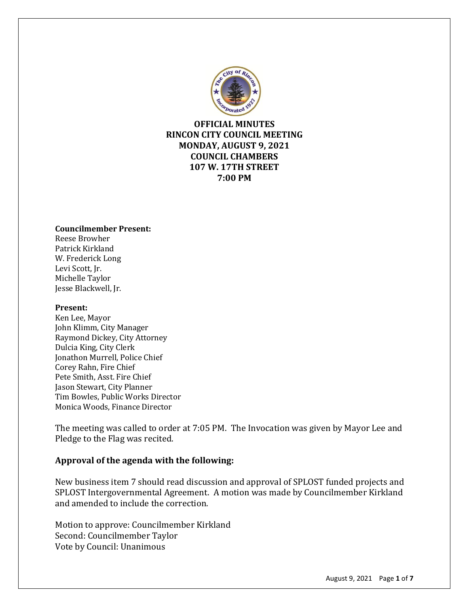

**OFFICIAL MINUTES RINCON CITY COUNCIL MEETING MONDAY, AUGUST 9, 2021 COUNCIL CHAMBERS 107 W. 17TH STREET 7:00 PM**

#### **Councilmember Present:**

Reese Browher Patrick Kirkland W. Frederick Long Levi Scott, Jr. Michelle Taylor Jesse Blackwell, Jr.

#### **Present:**

Ken Lee, Mayor John Klimm, City Manager Raymond Dickey, City Attorney Dulcia King, City Clerk Jonathon Murrell, Police Chief Corey Rahn, Fire Chief Pete Smith, Asst. Fire Chief Jason Stewart, City Planner Tim Bowles, Public Works Director Monica Woods, Finance Director

The meeting was called to order at 7:05 PM. The Invocation was given by Mayor Lee and Pledge to the Flag was recited.

#### **Approval of the agenda with the following:**

New business item 7 should read discussion and approval of SPLOST funded projects and SPLOST Intergovernmental Agreement. A motion was made by Councilmember Kirkland and amended to include the correction.

Motion to approve: Councilmember Kirkland Second: Councilmember Taylor Vote by Council: Unanimous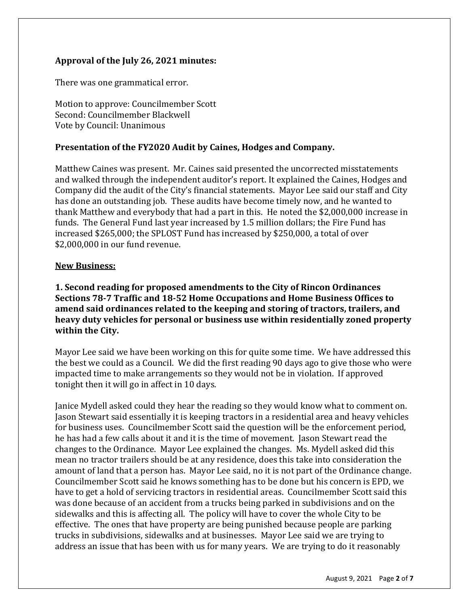### **Approval of the July 26, 2021 minutes:**

There was one grammatical error.

Motion to approve: Councilmember Scott Second: Councilmember Blackwell Vote by Council: Unanimous

#### **Presentation of the FY2020 Audit by Caines, Hodges and Company.**

Matthew Caines was present. Mr. Caines said presented the uncorrected misstatements and walked through the independent auditor's report. It explained the Caines, Hodges and Company did the audit of the City's financial statements. Mayor Lee said our staff and City has done an outstanding job. These audits have become timely now, and he wanted to thank Matthew and everybody that had a part in this. He noted the \$2,000,000 increase in funds. The General Fund last year increased by 1.5 million dollars; the Fire Fund has increased \$265,000; the SPLOST Fund has increased by \$250,000, a total of over \$2,000,000 in our fund revenue.

#### **New Business:**

**1. Second reading for proposed amendments to the City of Rincon Ordinances Sections 78-7 Traffic and 18-52 Home Occupations and Home Business Offices to amend said ordinances related to the keeping and storing of tractors, trailers, and heavy duty vehicles for personal or business use within residentially zoned property within the City.** 

Mayor Lee said we have been working on this for quite some time. We have addressed this the best we could as a Council. We did the first reading 90 days ago to give those who were impacted time to make arrangements so they would not be in violation. If approved tonight then it will go in affect in 10 days.

Janice Mydell asked could they hear the reading so they would know what to comment on. Jason Stewart said essentially it is keeping tractors in a residential area and heavy vehicles for business uses. Councilmember Scott said the question will be the enforcement period, he has had a few calls about it and it is the time of movement. Jason Stewart read the changes to the Ordinance. Mayor Lee explained the changes. Ms. Mydell asked did this mean no tractor trailers should be at any residence, does this take into consideration the amount of land that a person has. Mayor Lee said, no it is not part of the Ordinance change. Councilmember Scott said he knows something has to be done but his concern is EPD, we have to get a hold of servicing tractors in residential areas. Councilmember Scott said this was done because of an accident from a trucks being parked in subdivisions and on the sidewalks and this is affecting all. The policy will have to cover the whole City to be effective. The ones that have property are being punished because people are parking trucks in subdivisions, sidewalks and at businesses. Mayor Lee said we are trying to address an issue that has been with us for many years. We are trying to do it reasonably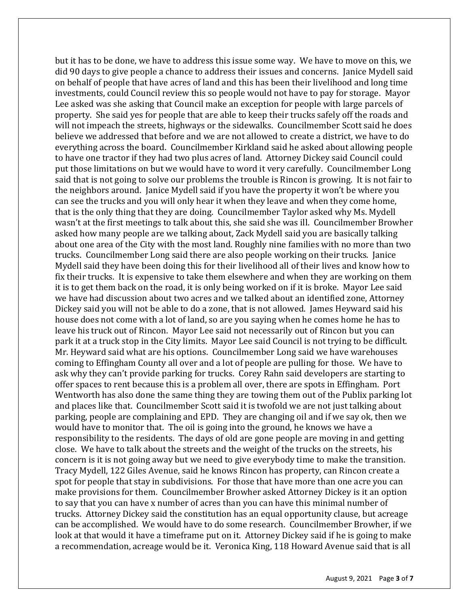but it has to be done, we have to address this issue some way. We have to move on this, we did 90 days to give people a chance to address their issues and concerns. Janice Mydell said on behalf of people that have acres of land and this has been their livelihood and long time investments, could Council review this so people would not have to pay for storage. Mayor Lee asked was she asking that Council make an exception for people with large parcels of property. She said yes for people that are able to keep their trucks safely off the roads and will not impeach the streets, highways or the sidewalks. Councilmember Scott said he does believe we addressed that before and we are not allowed to create a district, we have to do everything across the board. Councilmember Kirkland said he asked about allowing people to have one tractor if they had two plus acres of land. Attorney Dickey said Council could put those limitations on but we would have to word it very carefully. Councilmember Long said that is not going to solve our problems the trouble is Rincon is growing. It is not fair to the neighbors around. Janice Mydell said if you have the property it won't be where you can see the trucks and you will only hear it when they leave and when they come home, that is the only thing that they are doing. Councilmember Taylor asked why Ms. Mydell wasn't at the first meetings to talk about this, she said she was ill. Councilmember Browher asked how many people are we talking about, Zack Mydell said you are basically talking about one area of the City with the most land. Roughly nine families with no more than two trucks. Councilmember Long said there are also people working on their trucks. Janice Mydell said they have been doing this for their livelihood all of their lives and know how to fix their trucks. It is expensive to take them elsewhere and when they are working on them it is to get them back on the road, it is only being worked on if it is broke. Mayor Lee said we have had discussion about two acres and we talked about an identified zone, Attorney Dickey said you will not be able to do a zone, that is not allowed. James Heyward said his house does not come with a lot of land, so are you saying when he comes home he has to leave his truck out of Rincon. Mayor Lee said not necessarily out of Rincon but you can park it at a truck stop in the City limits. Mayor Lee said Council is not trying to be difficult. Mr. Heyward said what are his options. Councilmember Long said we have warehouses coming to Effingham County all over and a lot of people are pulling for those. We have to ask why they can't provide parking for trucks. Corey Rahn said developers are starting to offer spaces to rent because this is a problem all over, there are spots in Effingham. Port Wentworth has also done the same thing they are towing them out of the Publix parking lot and places like that. Councilmember Scott said it is twofold we are not just talking about parking, people are complaining and EPD. They are changing oil and if we say ok, then we would have to monitor that. The oil is going into the ground, he knows we have a responsibility to the residents. The days of old are gone people are moving in and getting close. We have to talk about the streets and the weight of the trucks on the streets, his concern is it is not going away but we need to give everybody time to make the transition. Tracy Mydell, 122 Giles Avenue, said he knows Rincon has property, can Rincon create a spot for people that stay in subdivisions. For those that have more than one acre you can make provisions for them. Councilmember Browher asked Attorney Dickey is it an option to say that you can have x number of acres than you can have this minimal number of trucks. Attorney Dickey said the constitution has an equal opportunity clause, but acreage can be accomplished. We would have to do some research. Councilmember Browher, if we look at that would it have a timeframe put on it. Attorney Dickey said if he is going to make a recommendation, acreage would be it. Veronica King, 118 Howard Avenue said that is all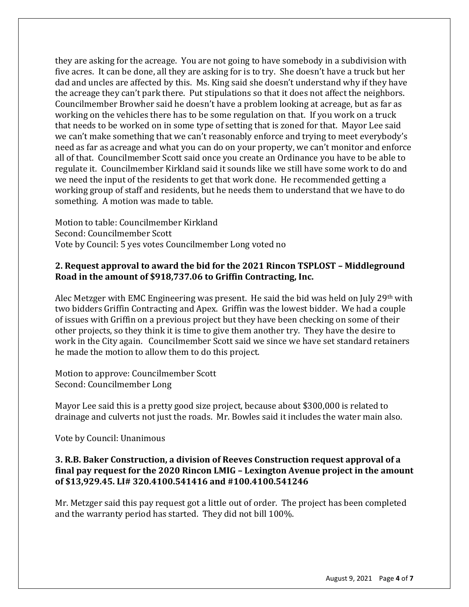they are asking for the acreage. You are not going to have somebody in a subdivision with five acres. It can be done, all they are asking for is to try. She doesn't have a truck but her dad and uncles are affected by this. Ms. King said she doesn't understand why if they have the acreage they can't park there. Put stipulations so that it does not affect the neighbors. Councilmember Browher said he doesn't have a problem looking at acreage, but as far as working on the vehicles there has to be some regulation on that. If you work on a truck that needs to be worked on in some type of setting that is zoned for that. Mayor Lee said we can't make something that we can't reasonably enforce and trying to meet everybody's need as far as acreage and what you can do on your property, we can't monitor and enforce all of that. Councilmember Scott said once you create an Ordinance you have to be able to regulate it. Councilmember Kirkland said it sounds like we still have some work to do and we need the input of the residents to get that work done. He recommended getting a working group of staff and residents, but he needs them to understand that we have to do something. A motion was made to table.

Motion to table: Councilmember Kirkland Second: Councilmember Scott Vote by Council: 5 yes votes Councilmember Long voted no

### **2. Request approval to award the bid for the 2021 Rincon TSPLOST – Middleground Road in the amount of \$918,737.06 to Griffin Contracting, Inc.**

Alec Metzger with EMC Engineering was present. He said the bid was held on July 29th with two bidders Griffin Contracting and Apex. Griffin was the lowest bidder. We had a couple of issues with Griffin on a previous project but they have been checking on some of their other projects, so they think it is time to give them another try. They have the desire to work in the City again. Councilmember Scott said we since we have set standard retainers he made the motion to allow them to do this project.

Motion to approve: Councilmember Scott Second: Councilmember Long

Mayor Lee said this is a pretty good size project, because about \$300,000 is related to drainage and culverts not just the roads. Mr. Bowles said it includes the water main also.

Vote by Council: Unanimous

## **3. R.B. Baker Construction, a division of Reeves Construction request approval of a final pay request for the 2020 Rincon LMIG – Lexington Avenue project in the amount of \$13,929.45. LI# 320.4100.541416 and #100.4100.541246**

Mr. Metzger said this pay request got a little out of order. The project has been completed and the warranty period has started. They did not bill 100%.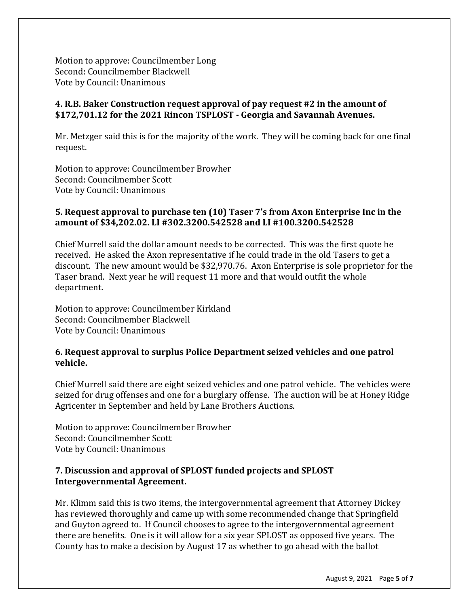Motion to approve: Councilmember Long Second: Councilmember Blackwell Vote by Council: Unanimous

### **4. R.B. Baker Construction request approval of pay request #2 in the amount of \$172,701.12 for the 2021 Rincon TSPLOST - Georgia and Savannah Avenues.**

Mr. Metzger said this is for the majority of the work. They will be coming back for one final request.

Motion to approve: Councilmember Browher Second: Councilmember Scott Vote by Council: Unanimous

### **5. Request approval to purchase ten (10) Taser 7's from Axon Enterprise Inc in the amount of \$34,202.02. LI #302.3200.542528 and LI #100.3200.542528**

Chief Murrell said the dollar amount needs to be corrected. This was the first quote he received. He asked the Axon representative if he could trade in the old Tasers to get a discount. The new amount would be \$32,970.76. Axon Enterprise is sole proprietor for the Taser brand. Next year he will request 11 more and that would outfit the whole department.

Motion to approve: Councilmember Kirkland Second: Councilmember Blackwell Vote by Council: Unanimous

### **6. Request approval to surplus Police Department seized vehicles and one patrol vehicle.**

Chief Murrell said there are eight seized vehicles and one patrol vehicle. The vehicles were seized for drug offenses and one for a burglary offense. The auction will be at Honey Ridge Agricenter in September and held by Lane Brothers Auctions.

Motion to approve: Councilmember Browher Second: Councilmember Scott Vote by Council: Unanimous

## **7. Discussion and approval of SPLOST funded projects and SPLOST Intergovernmental Agreement.**

Mr. Klimm said this is two items, the intergovernmental agreement that Attorney Dickey has reviewed thoroughly and came up with some recommended change that Springfield and Guyton agreed to. If Council chooses to agree to the intergovernmental agreement there are benefits. One is it will allow for a six year SPLOST as opposed five years. The County has to make a decision by August 17 as whether to go ahead with the ballot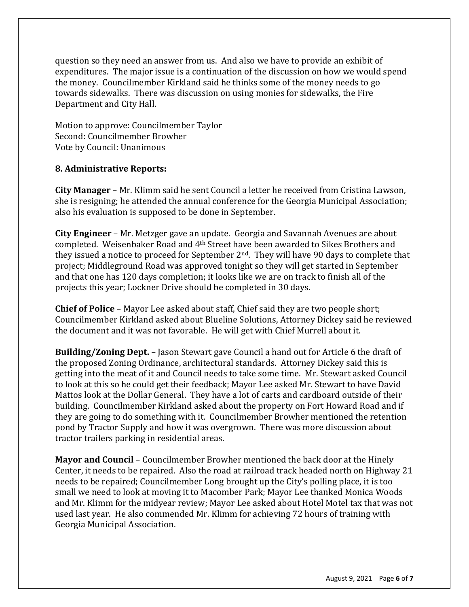question so they need an answer from us. And also we have to provide an exhibit of expenditures. The major issue is a continuation of the discussion on how we would spend the money. Councilmember Kirkland said he thinks some of the money needs to go towards sidewalks. There was discussion on using monies for sidewalks, the Fire Department and City Hall.

Motion to approve: Councilmember Taylor Second: Councilmember Browher Vote by Council: Unanimous

### **8. Administrative Reports:**

**City Manager** – Mr. Klimm said he sent Council a letter he received from Cristina Lawson, she is resigning; he attended the annual conference for the Georgia Municipal Association; also his evaluation is supposed to be done in September.

**City Engineer** – Mr. Metzger gave an update. Georgia and Savannah Avenues are about completed. Weisenbaker Road and 4th Street have been awarded to Sikes Brothers and they issued a notice to proceed for September 2nd. They will have 90 days to complete that project; Middleground Road was approved tonight so they will get started in September and that one has 120 days completion; it looks like we are on track to finish all of the projects this year; Lockner Drive should be completed in 30 days.

**Chief of Police** – Mayor Lee asked about staff, Chief said they are two people short; Councilmember Kirkland asked about Blueline Solutions, Attorney Dickey said he reviewed the document and it was not favorable. He will get with Chief Murrell about it.

**Building/Zoning Dept.** – Jason Stewart gave Council a hand out for Article 6 the draft of the proposed Zoning Ordinance, architectural standards. Attorney Dickey said this is getting into the meat of it and Council needs to take some time. Mr. Stewart asked Council to look at this so he could get their feedback; Mayor Lee asked Mr. Stewart to have David Mattos look at the Dollar General. They have a lot of carts and cardboard outside of their building. Councilmember Kirkland asked about the property on Fort Howard Road and if they are going to do something with it. Councilmember Browher mentioned the retention pond by Tractor Supply and how it was overgrown. There was more discussion about tractor trailers parking in residential areas.

**Mayor and Council** – Councilmember Browher mentioned the back door at the Hinely Center, it needs to be repaired. Also the road at railroad track headed north on Highway 21 needs to be repaired; Councilmember Long brought up the City's polling place, it is too small we need to look at moving it to Macomber Park; Mayor Lee thanked Monica Woods and Mr. Klimm for the midyear review; Mayor Lee asked about Hotel Motel tax that was not used last year. He also commended Mr. Klimm for achieving 72 hours of training with Georgia Municipal Association.